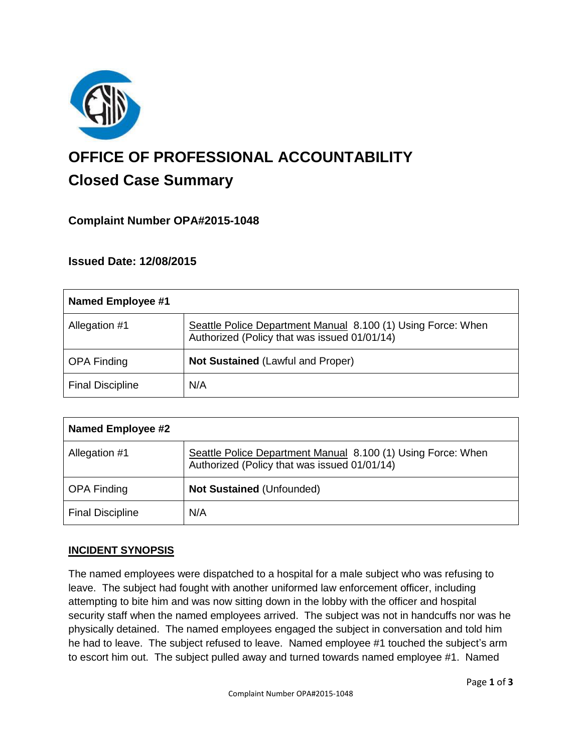

# **OFFICE OF PROFESSIONAL ACCOUNTABILITY Closed Case Summary**

# **Complaint Number OPA#2015-1048**

# **Issued Date: 12/08/2015**

| <b>Named Employee #1</b> |                                                                                                              |
|--------------------------|--------------------------------------------------------------------------------------------------------------|
| Allegation #1            | Seattle Police Department Manual 8.100 (1) Using Force: When<br>Authorized (Policy that was issued 01/01/14) |
| <b>OPA Finding</b>       | <b>Not Sustained (Lawful and Proper)</b>                                                                     |
| <b>Final Discipline</b>  | N/A                                                                                                          |

| <b>Named Employee #2</b> |                                                                                                              |
|--------------------------|--------------------------------------------------------------------------------------------------------------|
| Allegation #1            | Seattle Police Department Manual 8.100 (1) Using Force: When<br>Authorized (Policy that was issued 01/01/14) |
| <b>OPA Finding</b>       | <b>Not Sustained (Unfounded)</b>                                                                             |
| <b>Final Discipline</b>  | N/A                                                                                                          |

#### **INCIDENT SYNOPSIS**

The named employees were dispatched to a hospital for a male subject who was refusing to leave. The subject had fought with another uniformed law enforcement officer, including attempting to bite him and was now sitting down in the lobby with the officer and hospital security staff when the named employees arrived. The subject was not in handcuffs nor was he physically detained. The named employees engaged the subject in conversation and told him he had to leave. The subject refused to leave. Named employee #1 touched the subject's arm to escort him out. The subject pulled away and turned towards named employee #1. Named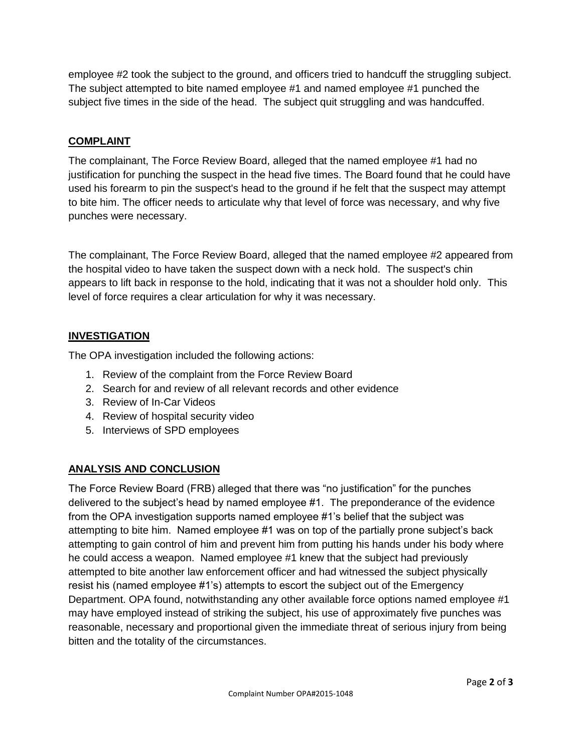employee #2 took the subject to the ground, and officers tried to handcuff the struggling subject. The subject attempted to bite named employee #1 and named employee #1 punched the subject five times in the side of the head. The subject quit struggling and was handcuffed.

# **COMPLAINT**

The complainant, The Force Review Board, alleged that the named employee #1 had no justification for punching the suspect in the head five times. The Board found that he could have used his forearm to pin the suspect's head to the ground if he felt that the suspect may attempt to bite him. The officer needs to articulate why that level of force was necessary, and why five punches were necessary.

The complainant, The Force Review Board, alleged that the named employee #2 appeared from the hospital video to have taken the suspect down with a neck hold. The suspect's chin appears to lift back in response to the hold, indicating that it was not a shoulder hold only. This level of force requires a clear articulation for why it was necessary.

# **INVESTIGATION**

The OPA investigation included the following actions:

- 1. Review of the complaint from the Force Review Board
- 2. Search for and review of all relevant records and other evidence
- 3. Review of In-Car Videos
- 4. Review of hospital security video
- 5. Interviews of SPD employees

# **ANALYSIS AND CONCLUSION**

The Force Review Board (FRB) alleged that there was "no justification" for the punches delivered to the subject's head by named employee #1. The preponderance of the evidence from the OPA investigation supports named employee #1's belief that the subject was attempting to bite him. Named employee #1 was on top of the partially prone subject's back attempting to gain control of him and prevent him from putting his hands under his body where he could access a weapon. Named employee #1 knew that the subject had previously attempted to bite another law enforcement officer and had witnessed the subject physically resist his (named employee #1's) attempts to escort the subject out of the Emergency Department. OPA found, notwithstanding any other available force options named employee #1 may have employed instead of striking the subject, his use of approximately five punches was reasonable, necessary and proportional given the immediate threat of serious injury from being bitten and the totality of the circumstances.